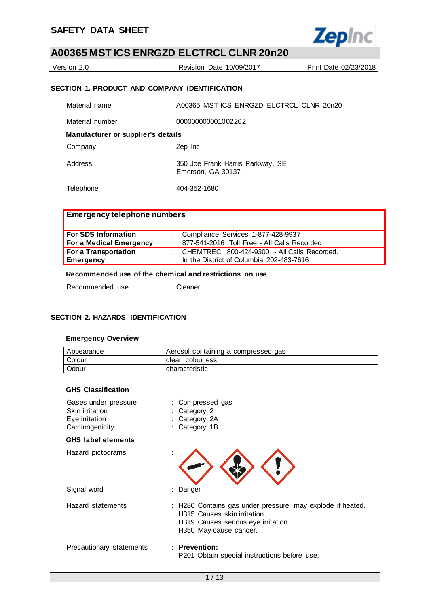

| Version 2.0                                   | Revision Date 10/09/2017                       | Print Date 02/23/2018 |
|-----------------------------------------------|------------------------------------------------|-----------------------|
| SECTION 1. PRODUCT AND COMPANY IDENTIFICATION |                                                |                       |
| Material name                                 | $\pm$ 400365 MST ICS ENRGZD ELCTRCL CLNR 20n20 |                       |
| Material number                               | 000000000001002262                             |                       |

**Manufacturer or supplier's details**

| Company | $\therefore$ Zep Inc.                                 |
|---------|-------------------------------------------------------|
| Address | 350 Joe Frank Harris Parkway, SE<br>Emerson, GA 30137 |

Telephone : 404-352-1680

## **Emergency telephone numbers**

| <b>For SDS Information</b>     | : Compliance Services 1-877-428-9937             |
|--------------------------------|--------------------------------------------------|
| <b>For a Medical Emergency</b> | 877-541-2016 Toll Free - All Calls Recorded      |
| For a Transportation           | : CHEMTREC: $800-424-9300$ - All Calls Recorded. |
| Emergency                      | In the District of Columbia 202-483-7616         |

### **Recommended use of the chemical and restrictions on use**

Recommended use : Cleaner

#### **SECTION 2. HAZARDS IDENTIFICATION**

#### **Emergency Overview**

| Appearance | Aerosol containing a compressed gas |
|------------|-------------------------------------|
| Colour     | clear, colourless                   |
| Odour      | characteristic                      |

### **GHS Classification**

| Gases under pressure<br>Skin irritation<br>Eye irritation<br>Carcinogenicity | : Compressed gas<br>Category 2<br>Category 2A<br>Category 1B                                                                                                |
|------------------------------------------------------------------------------|-------------------------------------------------------------------------------------------------------------------------------------------------------------|
| <b>GHS label elements</b>                                                    |                                                                                                                                                             |
| Hazard pictograms                                                            |                                                                                                                                                             |
| Signal word                                                                  | : Danger                                                                                                                                                    |
| Hazard statements                                                            | : H280 Contains gas under pressure; may explode if heated.<br>H315 Causes skin irritation.<br>H319 Causes serious eye irritation.<br>H350 May cause cancer. |
| Precautionary statements                                                     | $\therefore$ Prevention:<br>P201 Obtain special instructions before use.                                                                                    |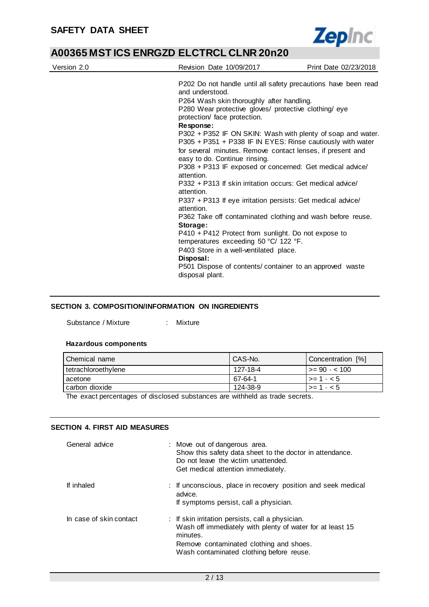

| Version 2.0 | Revision Date 10/09/2017                                                                                                                                                                                                                                                                                                                                                                                                                                                                                                                                                                                                                                                                                                                                                                                                                                                                                                                                                                                             | Print Date 02/23/2018 |
|-------------|----------------------------------------------------------------------------------------------------------------------------------------------------------------------------------------------------------------------------------------------------------------------------------------------------------------------------------------------------------------------------------------------------------------------------------------------------------------------------------------------------------------------------------------------------------------------------------------------------------------------------------------------------------------------------------------------------------------------------------------------------------------------------------------------------------------------------------------------------------------------------------------------------------------------------------------------------------------------------------------------------------------------|-----------------------|
|             | P202 Do not handle until all safety precautions have been read<br>and understood.<br>P264 Wash skin thoroughly after handling.<br>P280 Wear protective gloves/ protective clothing/ eye<br>protection/ face protection.<br>Response:<br>P302 + P352 IF ON SKIN: Wash with plenty of soap and water.<br>P305 + P351 + P338 IF IN EYES: Rinse cautiously with water<br>for several minutes. Remove contact lenses, if present and<br>easy to do. Continue rinsing.<br>P308 + P313 IF exposed or concerned: Get medical advice/<br>attention.<br>P332 + P313 If skin irritation occurs: Get medical advice/<br>attention.<br>P337 + P313 If eye irritation persists: Get medical advice/<br>attention.<br>P362 Take off contaminated clothing and wash before reuse.<br>Storage:<br>$P410 + P412$ Protect from sunlight. Do not expose to<br>temperatures exceeding 50 °C/ 122 °F.<br>P403 Store in a well-ventilated place.<br>Disposal:<br>P501 Dispose of contents/container to an approved waste<br>disposal plant. |                       |

#### **SECTION 3. COMPOSITION/INFORMATION ON INGREDIENTS**

Substance / Mixture : Mixture

#### **Hazardous components**

| Chemical name         | CAS-No.  | Concentration [%]     |
|-----------------------|----------|-----------------------|
| I tetrachloroethylene | 127-18-4 | $\vert$ >= 90 - < 100 |
| Lacetone              | 67-64-1  | l >= 1 - < 5          |
| I carbon dioxide      | 124-38-9 | l >= 1 - < 5          |
| .<br>.                | .        |                       |

The exact percentages of disclosed substances are withheld as trade secrets.

#### **SECTION 4. FIRST AID MEASURES**

| General advice          | : Move out of dangerous area.<br>Show this safety data sheet to the doctor in attendance.<br>Do not leave the victim unattended.<br>Get medical attention immediately.                                           |
|-------------------------|------------------------------------------------------------------------------------------------------------------------------------------------------------------------------------------------------------------|
| If inhaled              | : If unconscious, place in recovery position and seek medical<br>advice.<br>If symptoms persist, call a physician.                                                                                               |
| In case of skin contact | : If skin irritation persists, call a physician.<br>Wash off immediately with plenty of water for at least 15<br>minutes.<br>Remove contaminated clothing and shoes.<br>Wash contaminated clothing before reuse. |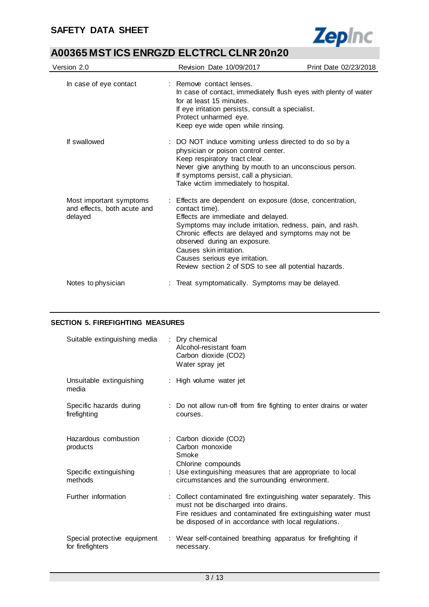

| Version 2.0                                                       | Revision Date 10/09/2017                                                                                                                                                                                                                                                                                                                                                                    | Print Date 02/23/2018 |
|-------------------------------------------------------------------|---------------------------------------------------------------------------------------------------------------------------------------------------------------------------------------------------------------------------------------------------------------------------------------------------------------------------------------------------------------------------------------------|-----------------------|
| In case of eye contact                                            | : Remove contact lenses.<br>In case of contact, immediately flush eyes with plenty of water<br>for at least 15 minutes.<br>If eye irritation persists, consult a specialist.<br>Protect unharmed eye.<br>Keep eye wide open while rinsing.                                                                                                                                                  |                       |
| If swallowed                                                      | : DO NOT induce vomiting unless directed to do so by a<br>physician or poison control center.<br>Keep respiratory tract clear.<br>Never give anything by mouth to an unconscious person.<br>If symptoms persist, call a physician.<br>Take victim immediately to hospital.                                                                                                                  |                       |
| Most important symptoms<br>and effects, both acute and<br>delayed | : Effects are dependent on exposure (dose, concentration,<br>contact time).<br>Effects are immediate and delayed.<br>Symptoms may include irritation, redness, pain, and rash.<br>Chronic effects are delayed and symptoms may not be<br>observed during an exposure.<br>Causes skin irritation.<br>Causes serious eye irritation.<br>Review section 2 of SDS to see all potential hazards. |                       |
| Notes to physician                                                | Treat symptomatically. Symptoms may be delayed.                                                                                                                                                                                                                                                                                                                                             |                       |

### **SECTION 5. FIREFIGHTING MEASURES**

| Suitable extinguishing media                     | : Dry chemical<br>Alcohol-resistant foam<br>Carbon dioxide (CO2)<br>Water spray jet                                                                                                                                             |
|--------------------------------------------------|---------------------------------------------------------------------------------------------------------------------------------------------------------------------------------------------------------------------------------|
| Unsuitable extinguishing<br>media                | : High volume water jet                                                                                                                                                                                                         |
| Specific hazards during<br>firefighting          | : Do not allow run-off from fire fighting to enter drains or water<br>courses.                                                                                                                                                  |
| Hazardous combustion<br>products                 | : Carbon dioxide (CO2)<br>Carbon monoxide<br>Smoke<br>Chlorine compounds                                                                                                                                                        |
| Specific extinguishing<br>methods                | : Use extinguishing measures that are appropriate to local<br>circumstances and the surrounding environment.                                                                                                                    |
| Further information                              | : Collect contaminated fire extinguishing water separately. This<br>must not be discharged into drains.<br>Fire residues and contaminated fire extinguishing water must<br>be disposed of in accordance with local regulations. |
| Special protective equipment<br>for firefighters | : Wear self-contained breathing apparatus for firefighting if<br>necessary.                                                                                                                                                     |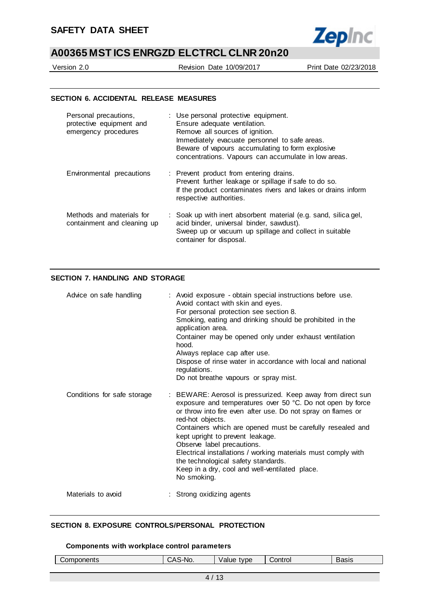

Version 2.0 Revision Date 10/09/2017 Print Date 02/23/2018

#### **SECTION 6. ACCIDENTAL RELEASE MEASURES**

| Personal precautions,<br>protective equipment and<br>emergency procedures | : Use personal protective equipment.<br>Ensure adequate ventilation.<br>Remove all sources of ignition.<br>Immediately evacuate personnel to safe areas.<br>Beware of vapours accumulating to form explosive<br>concentrations. Vapours can accumulate in low areas. |
|---------------------------------------------------------------------------|----------------------------------------------------------------------------------------------------------------------------------------------------------------------------------------------------------------------------------------------------------------------|
| Environmental precautions                                                 | : Prevent product from entering drains.<br>Prevent further leakage or spillage if safe to do so.<br>If the product contaminates rivers and lakes or drains inform<br>respective authorities.                                                                         |
| Methods and materials for<br>containment and cleaning up                  | : Soak up with inert absorbent material (e.g. sand, silica gel,<br>acid binder, universal binder, sawdust).<br>Sweep up or vacuum up spillage and collect in suitable<br>container for disposal.                                                                     |

#### **SECTION 7. HANDLING AND STORAGE**

| Advice on safe handling     | : Avoid exposure - obtain special instructions before use.<br>Avoid contact with skin and eyes.<br>For personal protection see section 8.<br>Smoking, eating and drinking should be prohibited in the<br>application area.<br>Container may be opened only under exhaust ventilation<br>hood.<br>Always replace cap after use.<br>Dispose of rinse water in accordance with local and national<br>regulations.<br>Do not breathe vapours or spray mist.                                                                |
|-----------------------------|------------------------------------------------------------------------------------------------------------------------------------------------------------------------------------------------------------------------------------------------------------------------------------------------------------------------------------------------------------------------------------------------------------------------------------------------------------------------------------------------------------------------|
| Conditions for safe storage | : BEWARE: Aerosol is pressurized. Keep away from direct sun<br>exposure and temperatures over 50 °C. Do not open by force<br>or throw into fire even after use. Do not spray on flames or<br>red-hot objects.<br>Containers which are opened must be carefully resealed and<br>kept upright to prevent leakage.<br>Observe label precautions.<br>Electrical installations / working materials must comply with<br>the technological safety standards.<br>Keep in a dry, cool and well-ventilated place.<br>No smoking. |
| Materials to avoid          | : Strong oxidizing agents                                                                                                                                                                                                                                                                                                                                                                                                                                                                                              |

#### **SECTION 8. EXPOSURE CONTROLS/PERSONAL PROTECTION**

#### **Components with workplace control parameters**

| .<br>onents | $\mathbf{v}$<br>`-No. | tvpe<br>$\sim$<br>.<br>valu. | ontrol | 0.010<br>്റ്റാറ |
|-------------|-----------------------|------------------------------|--------|-----------------|
|             |                       |                              |        |                 |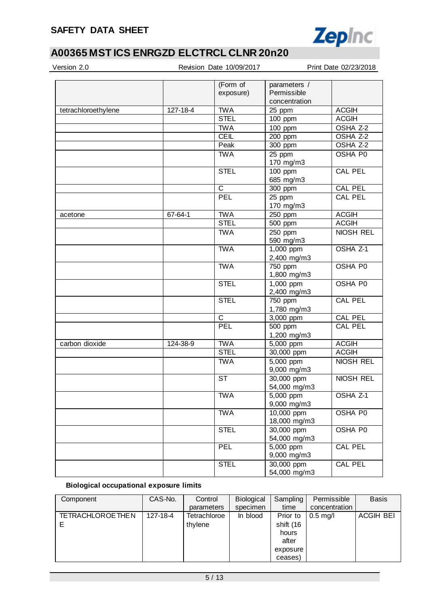

| Version 2.0         |          | Revision Date 10/09/2017 |                             | Print Date 02/23/2018 |
|---------------------|----------|--------------------------|-----------------------------|-----------------------|
|                     |          | (Form of<br>exposure)    | parameters /<br>Permissible |                       |
|                     |          |                          | concentration               |                       |
| tetrachloroethylene | 127-18-4 | <b>TWA</b>               | 25 ppm                      | <b>ACGIH</b>          |
|                     |          | <b>STEL</b>              | 100 ppm                     | <b>ACGIH</b>          |
|                     |          | <b>TWA</b>               | $\overline{100}$ ppm        | OSHA Z-2              |
|                     |          | <b>CEIL</b>              | 200 ppm                     | OSHA Z-2              |
|                     |          | Peak                     | 300 ppm                     | OSHA Z-2              |
|                     |          | <b>TWA</b>               | 25 ppm<br>170 mg/m3         | OSHA P0               |
|                     |          | <b>STEL</b>              | $100$ ppm                   | <b>CAL PEL</b>        |
|                     |          |                          | 685 mg/m3                   |                       |
|                     |          | $\mathsf{C}$             | 300 ppm                     | <b>CAL PEL</b>        |
|                     |          | PEL                      | 25 ppm                      | <b>CAL PEL</b>        |
|                     |          |                          | 170 mg/m3                   |                       |
| acetone             | 67-64-1  | <b>TWA</b>               | 250 ppm                     | <b>ACGIH</b>          |
|                     |          | <b>STEL</b>              | 500 ppm                     | <b>ACGIH</b>          |
|                     |          | <b>TWA</b>               | 250 ppm                     | <b>NIOSH REL</b>      |
|                     |          |                          | 590 mg/m3                   |                       |
|                     |          | <b>TWA</b>               | 1,000 ppm                   | OSHA <sub>Z-1</sub>   |
|                     |          |                          | 2,400 mg/m3                 |                       |
|                     |          | <b>TWA</b>               | 750 ppm                     | <b>OSHA P0</b>        |
|                     |          |                          | 1,800 mg/m3                 |                       |
|                     |          | <b>STEL</b>              | 1,000 ppm                   | <b>OSHA P0</b>        |
|                     |          |                          | 2,400 mg/m3                 |                       |
|                     |          | <b>STEL</b>              | 750 ppm                     | <b>CAL PEL</b>        |
|                     |          |                          | 1,780 mg/m3                 |                       |
|                     |          | $\mathsf C$              | 3,000 ppm                   | <b>CAL PEL</b>        |
|                     |          | PEL                      | $\overline{500}$ ppm        | <b>CAL PEL</b>        |
|                     |          |                          | 1,200 mg/m3                 |                       |
| carbon dioxide      | 124-38-9 | <b>TWA</b>               | $5,000$ ppm                 | <b>ACGIH</b>          |
|                     |          | <b>STEL</b>              | 30,000 ppm                  | <b>ACGIH</b>          |
|                     |          | <b>TWA</b>               | 5,000 ppm<br>9,000 mg/m3    | NIOSH REL             |
|                     |          | <b>ST</b>                | 30,000 ppm<br>54,000 mg/m3  | NIOSH REL             |
|                     |          | <b>TWA</b>               | 5,000 ppm<br>9,000 mg/m3    | OSHA Z-1              |
|                     |          | <b>TWA</b>               | 10,000 ppm<br>18,000 mg/m3  | OSHA P0               |
|                     |          | <b>STEL</b>              | 30,000 ppm<br>54,000 mg/m3  | OSHA P0               |
|                     |          | <b>PEL</b>               | 5,000 ppm<br>9,000 mg/m3    | CAL PEL               |
|                     |          | <b>STEL</b>              | 30,000 ppm<br>54,000 mg/m3  | CAL PEL               |

## **Biological occupational exposure limits**

| Component               | CAS-No.  | Control      | <b>Biological</b> | Sampling  | Permissible   | <b>Basis</b>     |
|-------------------------|----------|--------------|-------------------|-----------|---------------|------------------|
|                         |          | parameters   | specimen          | time      | concentration |                  |
| <b>TETRACHLOROETHEN</b> | 127-18-4 | Tetrachloroe | In blood          | Prior to  | $0.5$ mg/l    | <b>ACGIH BEI</b> |
|                         |          | thylene      |                   | shift (16 |               |                  |
|                         |          |              |                   | hours     |               |                  |
|                         |          |              |                   | after     |               |                  |
|                         |          |              |                   | exposure  |               |                  |
|                         |          |              |                   | ceases)   |               |                  |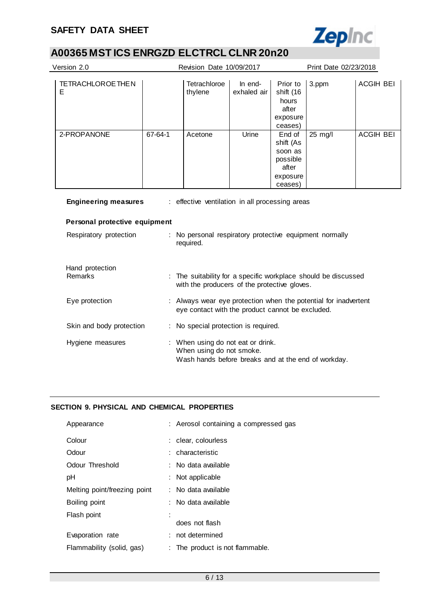

| Version 2.0                                                                                                     |         | Revision Date 10/09/2017                                                                                          |                        |                                                                            | Print Date 02/23/2018 |                  |
|-----------------------------------------------------------------------------------------------------------------|---------|-------------------------------------------------------------------------------------------------------------------|------------------------|----------------------------------------------------------------------------|-----------------------|------------------|
| <b>TETRACHLOROE THEN</b><br>Ε                                                                                   |         | Tetrachloroe<br>thylene                                                                                           | In end-<br>exhaled air | Prior to<br>shift (16<br>hours<br>after<br>exposure<br>ceases)             | 3.ppm                 | <b>ACGIH BEI</b> |
| 2-PROPANONE                                                                                                     | 67-64-1 | Acetone                                                                                                           | Urine                  | End of<br>shift (As<br>soon as<br>possible<br>after<br>exposure<br>ceases) | 25 mg/l               | <b>ACGIH BEI</b> |
| <b>Engineering measures</b><br>: effective ventilation in all processing areas<br>Personal protective equipment |         |                                                                                                                   |                        |                                                                            |                       |                  |
| Respiratory protection                                                                                          |         | No personal respiratory protective equipment normally<br>required.                                                |                        |                                                                            |                       |                  |
| Hand protection<br>Remarks                                                                                      |         | The suitability for a specific workplace should be discussed<br>with the producers of the protective gloves.      |                        |                                                                            |                       |                  |
| Eye protection                                                                                                  |         | Always wear eye protection when the potential for inadvertent<br>eye contact with the product cannot be excluded. |                        |                                                                            |                       |                  |
| Skin and body protection                                                                                        |         | : No special protection is required.                                                                              |                        |                                                                            |                       |                  |

| Hygiene measures | : When using do not eat or drink.<br>When using do not smoke. |
|------------------|---------------------------------------------------------------|
|                  | Wash hands before breaks and at the end of workday.           |

### **SECTION 9. PHYSICAL AND CHEMICAL PROPERTIES**

| Appearance                   | : Aerosol containing a compressed gas |
|------------------------------|---------------------------------------|
| Colour                       | : clear. colourless                   |
| Odour                        | : characteristic                      |
| Odour Threshold              | : No data available                   |
| рH                           | : Not applicable                      |
| Melting point/freezing point | : No data available                   |
| Boiling point                | : No data available                   |
| Flash point                  |                                       |
|                              | does not flash                        |
| Evaporation rate             | : not determined                      |
| Flammability (solid, gas)    | : The product is not flammable.       |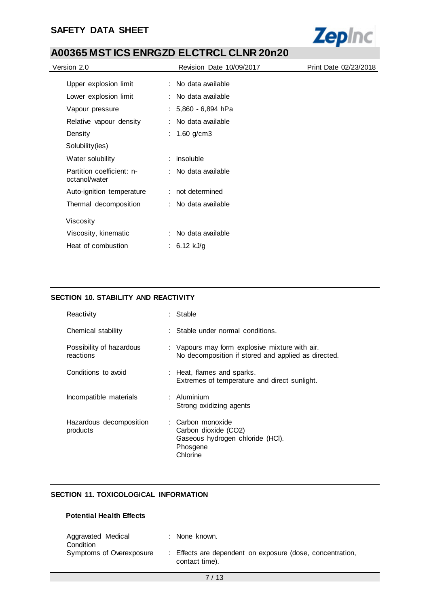

| Version 2.0                                | <b>Revision Date 10/09/2017</b> | Print Date 02/23/2018 |
|--------------------------------------------|---------------------------------|-----------------------|
| Upper explosion limit                      | : No data available             |                       |
| Lower explosion limit                      | : No data available             |                       |
| Vapour pressure                            | $: 5,860 - 6,894$ hPa           |                       |
| Relative vapour density                    | : No data available             |                       |
| Density                                    | : $1.60$ g/cm3                  |                       |
| Solubility(ies)                            |                                 |                       |
| Water solubility                           | $:$ insoluble                   |                       |
| Partition coefficient: n-<br>octanol/water | : No data available             |                       |
| Auto-ignition temperature                  | : not determined                |                       |
| Thermal decomposition                      | : No data available             |                       |
| Viscosity                                  |                                 |                       |
| Viscosity, kinematic                       | : No data available             |                       |
| Heat of combustion                         | : 6.12 kJ/g                     |                       |

### **SECTION 10. STABILITY AND REACTIVITY**

| Reactivity                            | : Stable                                                                                              |
|---------------------------------------|-------------------------------------------------------------------------------------------------------|
| Chemical stability                    | : Stable under normal conditions.                                                                     |
| Possibility of hazardous<br>reactions | : Vapours may form explosive mixture with air.<br>No decomposition if stored and applied as directed. |
| Conditions to avoid                   | : Heat, flames and sparks.<br>Extremes of temperature and direct sunlight.                            |
| Incompatible materials                | $:$ Aluminium<br>Strong oxidizing agents                                                              |
| Hazardous decomposition<br>products   | : Carbon monoxide<br>Carbon dioxide (CO2)<br>Gaseous hydrogen chloride (HCI).<br>Phosgene<br>Chlorine |

## **SECTION 11. TOXICOLOGICAL INFORMATION**

### **Potential Health Effects**

| Aggravated Medical<br>Condition | : None known.                                                               |
|---------------------------------|-----------------------------------------------------------------------------|
| Symptoms of Overexposure        | : Effects are dependent on exposure (dose, concentration,<br>contact time). |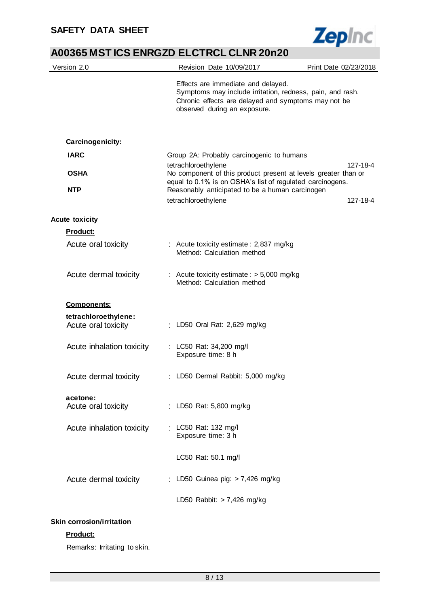

| Version 2.0                                  | Revision Date 10/09/2017                                                                                                                                                               | Print Date 02/23/2018 |
|----------------------------------------------|----------------------------------------------------------------------------------------------------------------------------------------------------------------------------------------|-----------------------|
|                                              | Effects are immediate and delayed.<br>Symptoms may include irritation, redness, pain, and rash.<br>Chronic effects are delayed and symptoms may not be<br>observed during an exposure. |                       |
| Carcinogenicity:                             |                                                                                                                                                                                        |                       |
| <b>IARC</b>                                  | Group 2A: Probably carcinogenic to humans                                                                                                                                              |                       |
|                                              | tetrachloroethylene                                                                                                                                                                    | 127-18-4              |
| <b>OSHA</b>                                  | No component of this product present at levels greater than or<br>equal to 0.1% is on OSHA's list of regulated carcinogens.                                                            |                       |
| <b>NTP</b>                                   | Reasonably anticipated to be a human carcinogen                                                                                                                                        |                       |
|                                              | tetrachloroethylene                                                                                                                                                                    | 127-18-4              |
| <b>Acute toxicity</b>                        |                                                                                                                                                                                        |                       |
| Product:                                     |                                                                                                                                                                                        |                       |
| Acute oral toxicity                          | : Acute toxicity estimate: 2,837 mg/kg<br>Method: Calculation method                                                                                                                   |                       |
| Acute dermal toxicity                        | : Acute toxicity estimate : $> 5,000$ mg/kg<br>Method: Calculation method                                                                                                              |                       |
| <b>Components:</b>                           |                                                                                                                                                                                        |                       |
| tetrachloroethylene:<br>Acute oral toxicity  | : LD50 Oral Rat: 2,629 mg/kg                                                                                                                                                           |                       |
| Acute inhalation toxicity                    | : LC50 Rat: 34,200 mg/l<br>Exposure time: 8 h                                                                                                                                          |                       |
| Acute dermal toxicity                        | : LD50 Dermal Rabbit: 5,000 mg/kg                                                                                                                                                      |                       |
| acetone:<br>Acute oral toxicity              | : LD50 Rat: 5,800 mg/kg                                                                                                                                                                |                       |
| Acute inhalation toxicity                    | : LC50 Rat: 132 mg/l<br>Exposure time: 3 h                                                                                                                                             |                       |
|                                              | LC50 Rat: 50.1 mg/l                                                                                                                                                                    |                       |
| Acute dermal toxicity                        | : LD50 Guinea pig: $> 7,426$ mg/kg                                                                                                                                                     |                       |
|                                              | LD50 Rabbit: $> 7,426$ mg/kg                                                                                                                                                           |                       |
| <b>Skin corrosion/irritation</b><br>Product: |                                                                                                                                                                                        |                       |
|                                              |                                                                                                                                                                                        |                       |

Remarks: Irritating to skin.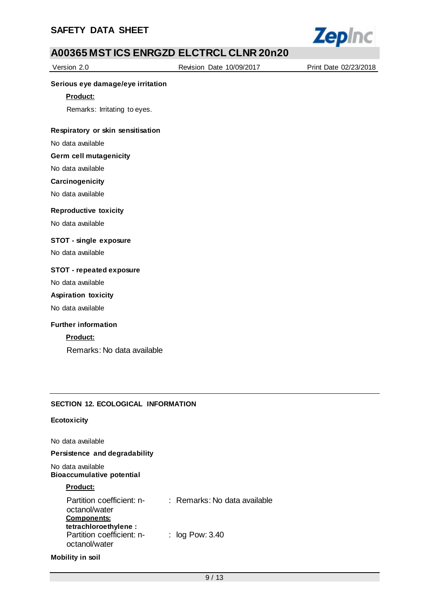

Version 2.0 Revision Date 10/09/2017 Print Date 02/23/2018

#### **Serious eye damage/eye irritation**

**Product:**

Remarks: Irritating to eyes.

#### **Respiratory or skin sensitisation**

No data available

#### **Germ cell mutagenicity**

No data available

#### **Carcinogenicity**

No data available

#### **Reproductive toxicity**

No data available

#### **STOT - single exposure**

No data available

#### **STOT - repeated exposure**

No data available

#### **Aspiration toxicity**

No data available

#### **Further information**

#### **Product:**

Remarks: No data available

### **SECTION 12. ECOLOGICAL INFORMATION**

#### **Ecotoxicity**

No data available

#### **Persistence and degradability**

No data available **Bioaccumulative potential**

#### **Product:**

| Partition coefficient: n-<br>octanol/water<br><b>Components:</b>    | : Remarks: No data available |
|---------------------------------------------------------------------|------------------------------|
| tetrachloroethylene :<br>Partition coefficient: n-<br>octanol/water | : $log Pow: 3.40$            |

#### **Mobility in soil**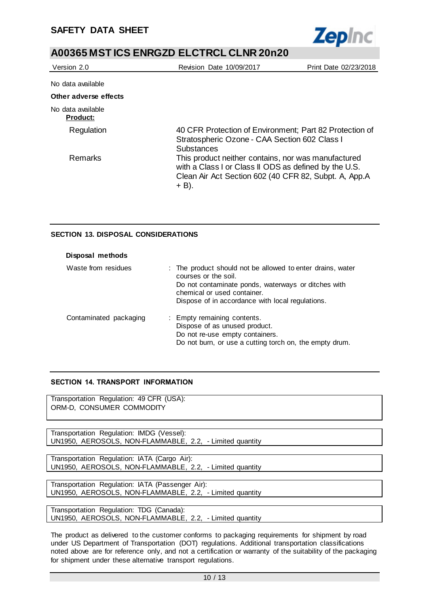

| Version 2.0                          | Revision Date 10/09/2017                                                                                                                                                          | Print Date 02/23/2018 |
|--------------------------------------|-----------------------------------------------------------------------------------------------------------------------------------------------------------------------------------|-----------------------|
| No data available                    |                                                                                                                                                                                   |                       |
| Other adverse effects                |                                                                                                                                                                                   |                       |
| No data available<br><b>Product:</b> |                                                                                                                                                                                   |                       |
| Regulation                           | 40 CFR Protection of Environment; Part 82 Protection of<br>Stratospheric Ozone - CAA Section 602 Class I<br><b>Substances</b>                                                     |                       |
| <b>Remarks</b>                       | This product neither contains, nor was manufactured<br>with a Class I or Class II ODS as defined by the U.S.<br>Clean Air Act Section 602 (40 CFR 82, Subpt. A, App.A<br>$+ B$ ). |                       |

### **SECTION 13. DISPOSAL CONSIDERATIONS**

| Disposal methods       |                                                                                                                                                                                                                              |
|------------------------|------------------------------------------------------------------------------------------------------------------------------------------------------------------------------------------------------------------------------|
| Waste from residues    | : The product should not be allowed to enter drains, water<br>courses or the soil.<br>Do not contaminate ponds, waterways or ditches with<br>chemical or used container.<br>Dispose of in accordance with local regulations. |
| Contaminated packaging | : Empty remaining contents.<br>Dispose of as unused product.<br>Do not re-use empty containers.<br>Do not burn, or use a cutting torch on, the empty drum.                                                                   |

#### **SECTION 14. TRANSPORT INFORMATION**

Transportation Regulation: 49 CFR (USA): ORM-D, CONSUMER COMMODITY

Transportation Regulation: IMDG (Vessel): UN1950, AEROSOLS, NON-FLAMMABLE, 2.2, - Limited quantity

Transportation Regulation: IATA (Cargo Air): UN1950, AEROSOLS, NON-FLAMMABLE, 2.2, - Limited quantity

Transportation Regulation: IATA (Passenger Air): UN1950, AEROSOLS, NON-FLAMMABLE, 2.2, - Limited quantity

Transportation Regulation: TDG (Canada): UN1950, AEROSOLS, NON-FLAMMABLE, 2.2, - Limited quantity

The product as delivered to the customer conforms to packaging requirements for shipment by road under US Department of Transportation (DOT) regulations. Additional transportation classifications noted above are for reference only, and not a certification or warranty of the suitability of the packaging for shipment under these alternative transport regulations.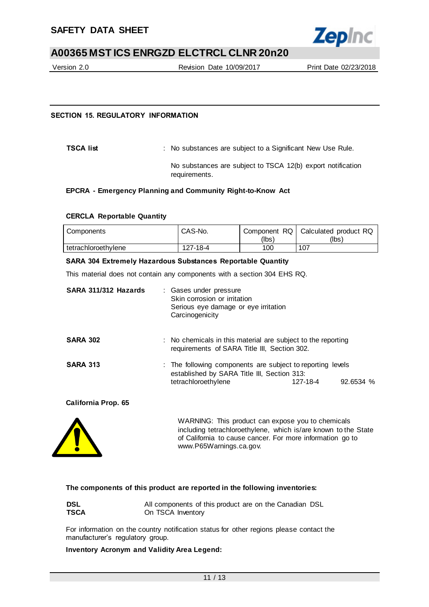

Version 2.0 Revision Date 10/09/2017 Print Date 02/23/2018

#### **SECTION 15. REGULATORY INFORMATION**

**TSCA list** : No substances are subject to a Significant New Use Rule.

No substances are subject to TSCA 12(b) export notification requirements.

#### **EPCRA - Emergency Planning and Community Right-to-Know Act**

#### **CERCLA Reportable Quantity**

| Components          | CAS-No.  | (lbs) | Component RQ   Calculated product RQ<br>(Ibs) |
|---------------------|----------|-------|-----------------------------------------------|
| tetrachloroethylene | 127-18-4 | 100   | 107                                           |

#### **SARA 304 Extremely Hazardous Substances Reportable Quantity**

This material does not contain any components with a section 304 EHS RQ.

| SARA 311/312 Hazards | : Gases under pressure<br>Skin corrosion or irritation<br>Serious eye damage or eye irritation<br>Carcinogenicity                                                                                           |          |           |
|----------------------|-------------------------------------------------------------------------------------------------------------------------------------------------------------------------------------------------------------|----------|-----------|
| <b>SARA 302</b>      | : No chemicals in this material are subject to the reporting<br>requirements of SARA Title III, Section 302.                                                                                                |          |           |
| <b>SARA 313</b>      | : The following components are subject to reporting levels<br>established by SARA Title III, Section 313:<br>tetrachloroethylene                                                                            | 127-18-4 | 92.6534 % |
| California Prop. 65  |                                                                                                                                                                                                             |          |           |
|                      | WARNING: This product can expose you to chemicals<br>including tetrachloroethylene, which is/are known to the State<br>of California to cause cancer. For more information go to<br>www.P65Warnings.ca.gov. |          |           |

#### **The components of this product are reported in the following inventories:**

| <b>DSL</b>  | All components of this product are on the Canadian DSL |
|-------------|--------------------------------------------------------|
| <b>TSCA</b> | On TSCA Inventory                                      |

For information on the country notification status for other regions please contact the manufacturer's regulatory group.

#### **Inventory Acronym and Validity Area Legend:**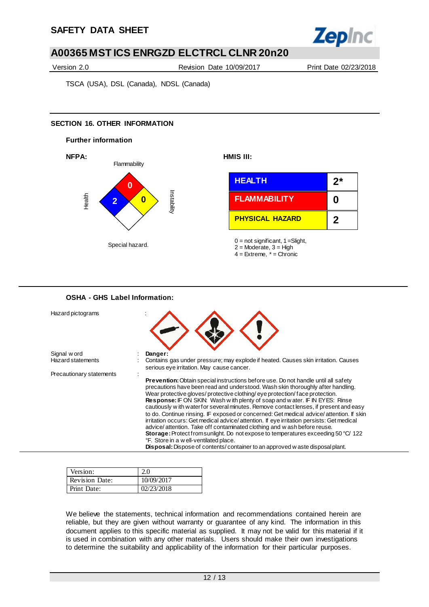

Version 2.0 Revision Date 10/09/2017 Print Date 02/23/2018

TSCA (USA), DSL (Canada), NDSL (Canada)

### **SECTION 16. OTHER INFORMATION**



| <b>OSHA - GHS Label Information:</b>     |                                                                                                                                                                                                                                                                                                                                                                                                                                                                                                                                                                                                                                                                                                                                                                                                                                                                                                                           |
|------------------------------------------|---------------------------------------------------------------------------------------------------------------------------------------------------------------------------------------------------------------------------------------------------------------------------------------------------------------------------------------------------------------------------------------------------------------------------------------------------------------------------------------------------------------------------------------------------------------------------------------------------------------------------------------------------------------------------------------------------------------------------------------------------------------------------------------------------------------------------------------------------------------------------------------------------------------------------|
| Hazard pictograms                        |                                                                                                                                                                                                                                                                                                                                                                                                                                                                                                                                                                                                                                                                                                                                                                                                                                                                                                                           |
| Signal w ord<br><b>Hazard statements</b> | Danger:<br>Contains gas under pressure; may explode if heated. Causes skin irritation. Causes<br>serious eye irritation. May cause cancer.                                                                                                                                                                                                                                                                                                                                                                                                                                                                                                                                                                                                                                                                                                                                                                                |
| Precautionary statements                 | Prevention: Obtain special instructions before use. Do not handle until all safety<br>precautions have been read and understood. Wash skin thoroughly after handling.<br>Wear protective gloves/ protective clothing/ eye protection/face protection.<br><b>Response:</b> IF ON SKIN: Wash with plenty of soap and water. IF IN EYES: Rinse<br>cautiously w ith water for several minutes. Remove contact lenses, if present and easy<br>to do. Continue rinsing. IF exposed or concerned: Get medical advice/attention. If skin<br>irritation occurs: Get medical advice/attention. If eye irritation persists: Get medical<br>advice/attention. Take off contaminated clothing and w ash before reuse.<br>Storage: Protect from sunlight. Do not expose to temperatures exceeding 50 °C/ 122<br>°F. Store in a w ell-ventilated place.<br>Disposal: Dispose of contents/container to an approved w aste disposal plant. |

| Version:              |            |
|-----------------------|------------|
| <b>Revision Date:</b> | 10/09/2017 |
| Print Date:           | 02/23/2018 |

We believe the statements, technical information and recommendations contained herein are reliable, but they are given without warranty or guarantee of any kind. The information in this document applies to this specific material as supplied. It may not be valid for this material if it is used in combination with any other materials. Users should make their own investigations to determine the suitability and applicability of the information for their particular purposes.

12 / 13